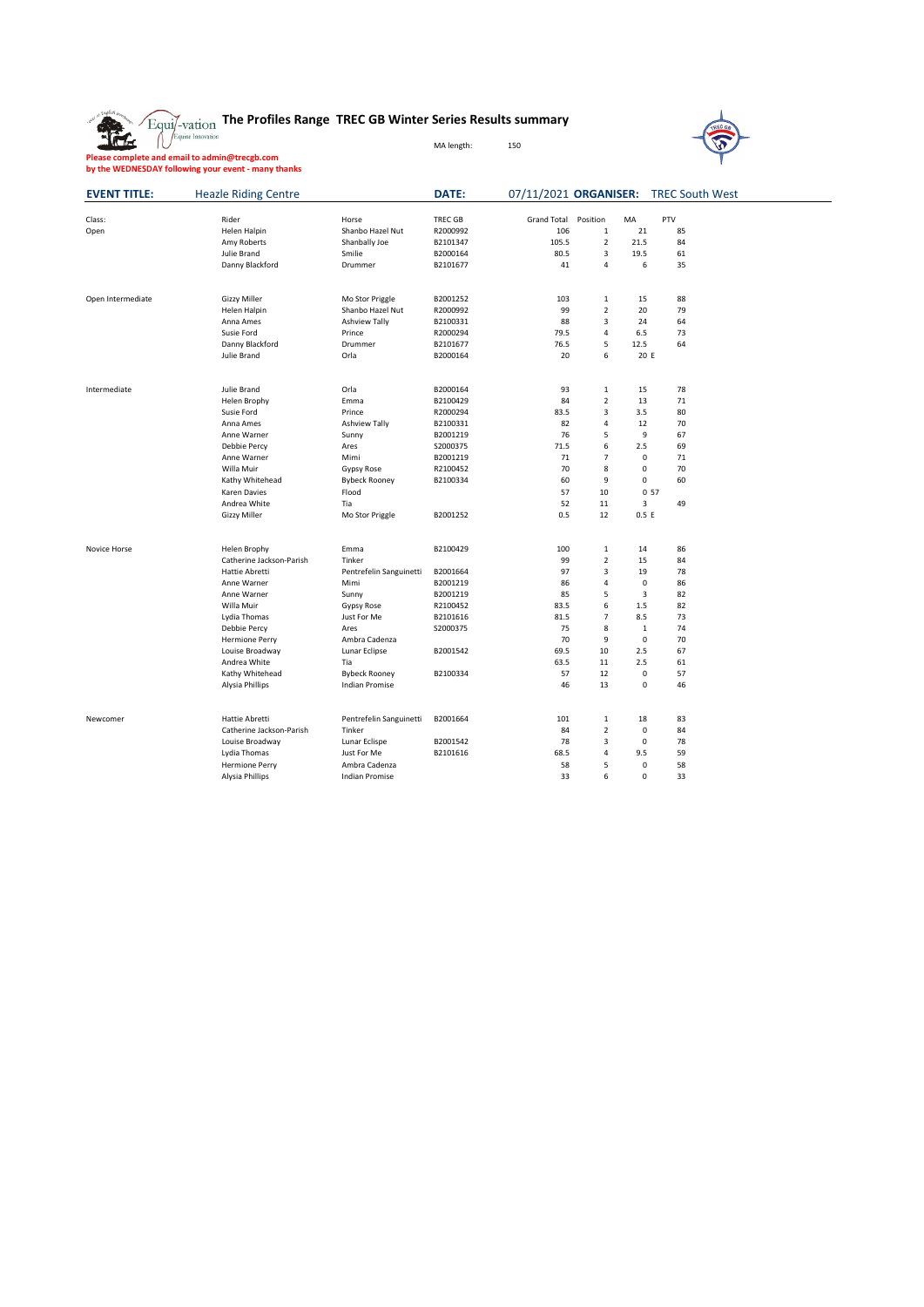|  | $\sqrt{\mathrm{Equi} / \mathrm{vation}}$ The Profiles Range TREC GB Winter Series Results summary |            |     |
|--|---------------------------------------------------------------------------------------------------|------------|-----|
|  |                                                                                                   | MA length: | 150 |



**Please complete and email to admin@trecgb.com by the WEDNESDAY following your event - many thanks**

金

| <b>EVENT TITLE:</b> | <b>Heazle Riding Centre</b>        |                                               | <b>DATE:</b>   |                    |                |             | 07/11/2021 ORGANISER: TREC South West |
|---------------------|------------------------------------|-----------------------------------------------|----------------|--------------------|----------------|-------------|---------------------------------------|
| Class:              | Rider                              | Horse                                         | <b>TREC GB</b> | <b>Grand Total</b> | Position       | MA          | PTV                                   |
| Open                | Helen Halpin                       | Shanbo Hazel Nut                              | R2000992       | 106                | $\mathbf{1}$   | 21          | 85                                    |
|                     | Amy Roberts                        | Shanbally Joe                                 | B2101347       | 105.5              | $\overline{2}$ | 21.5        | 84                                    |
|                     | Julie Brand                        | Smilie                                        | B2000164       | 80.5               | 3              | 19.5        | 61                                    |
|                     | Danny Blackford                    | Drummer                                       | B2101677       | 41                 | 4              | 6           | 35                                    |
| Open Intermediate   | <b>Gizzy Miller</b>                | Mo Stor Priggle                               | B2001252       | 103                | $\mathbf{1}$   | 15          | 88                                    |
|                     | Helen Halpin                       | Shanbo Hazel Nut                              | R2000992       | 99                 | $\overline{2}$ | 20          | 79                                    |
|                     | Anna Ames                          | <b>Ashview Tally</b>                          | B2100331       | 88                 | 3              | 24          | 64                                    |
|                     | Susie Ford                         | Prince                                        | R2000294       | 79.5               | 4              | 6.5         | 73                                    |
|                     | Danny Blackford                    | Drummer                                       | B2101677       | 76.5               | 5              | 12.5        | 64                                    |
|                     | <b>Julie Brand</b>                 | Orla                                          | B2000164       | 20                 | 6              | 20 E        |                                       |
| Intermediate        | Julie Brand                        | Orla                                          | B2000164       | 93                 | $\mathbf{1}$   | 15          | 78                                    |
|                     | Helen Brophy                       | Emma                                          | B2100429       | 84                 | $\overline{2}$ | 13          | 71                                    |
|                     | Susie Ford                         | Prince                                        | R2000294       | 83.5               | 3              | 3.5         | 80                                    |
|                     | Anna Ames                          | <b>Ashview Tally</b>                          | B2100331       | 82                 | 4              | 12          | 70                                    |
|                     | Anne Warner                        | Sunny                                         | B2001219       | 76                 | 5              | 9           | 67                                    |
|                     | Debbie Percy                       | Ares                                          | S2000375       | 71.5               | 6              | 2.5         | 69                                    |
|                     | Anne Warner                        | Mimi                                          | B2001219       | 71                 | $\overline{7}$ | 0           | 71                                    |
|                     | Willa Muir                         | Gypsy Rose                                    | R2100452       | 70                 | 8              | 0           | 70                                    |
|                     | Kathy Whitehead                    | <b>Bybeck Rooney</b>                          | B2100334       | 60                 | 9              | $\mathbf 0$ | 60                                    |
|                     | <b>Karen Davies</b>                | Flood                                         |                | 57                 | 10             | 0.57        |                                       |
|                     | Andrea White                       | Tia                                           |                | 52                 | 11             | 3           | 49                                    |
|                     | <b>Gizzy Miller</b>                | Mo Stor Priggle                               | B2001252       | 0.5                | 12             | 0.5 E       |                                       |
| Novice Horse        | <b>Helen Brophy</b>                | Emma                                          | B2100429       | 100                | 1              | 14          | 86                                    |
|                     | Catherine Jackson-Parish           | Tinker                                        |                | 99                 | $\overline{2}$ | 15          | 84                                    |
|                     | <b>Hattie Abretti</b>              | Pentrefelin Sanguinetti                       | B2001664       | 97                 | 3              | 19          | 78                                    |
|                     | Anne Warner                        | Mimi                                          | B2001219       | 86                 | 4              | $\mathbf 0$ | 86                                    |
|                     | Anne Warner                        | Sunny                                         | B2001219       | 85                 | 5              | 3           | 82                                    |
|                     | Willa Muir                         | <b>Gypsy Rose</b>                             | R2100452       | 83.5               | 6              | 1.5         | 82                                    |
|                     | Lydia Thomas                       | Just For Me                                   | B2101616       | 81.5               | 7              | 8.5         | 73                                    |
|                     | <b>Debbie Percy</b>                | Ares                                          | S2000375       | 75                 | 8              | $\mathbf 1$ | 74                                    |
|                     | <b>Hermione Perry</b>              | Ambra Cadenza                                 |                | 70                 | 9              | 0           | 70                                    |
|                     | Louise Broadway                    | Lunar Eclipse                                 | B2001542       | 69.5               | 10             | 2.5         | 67                                    |
|                     | Andrea White                       | Tia                                           |                | 63.5               | 11             | 2.5         | 61                                    |
|                     | Kathy Whitehead<br>Alysia Phillips | <b>Bybeck Rooney</b><br><b>Indian Promise</b> | B2100334       | 57<br>46           | 12<br>13       | 0<br>0      | 57<br>46                              |
|                     |                                    |                                               |                |                    |                |             |                                       |
| Newcomer            | <b>Hattie Abretti</b>              | Pentrefelin Sanguinetti                       | B2001664       | 101                | $\mathbf{1}$   | 18          | 83                                    |
|                     | Catherine Jackson-Parish           | Tinker                                        |                | 84                 | $\overline{2}$ | 0           | 84                                    |
|                     | Louise Broadway                    | Lunar Eclispe                                 | B2001542       | 78                 | 3              | $\pmb{0}$   | 78                                    |
|                     | Lydia Thomas                       | Just For Me                                   | B2101616       | 68.5               | 4              | 9.5         | 59                                    |
|                     | <b>Hermione Perry</b>              | Ambra Cadenza                                 |                | 58                 | 5              | 0           | 58                                    |
|                     | Alysia Phillips                    | <b>Indian Promise</b>                         |                | 33                 | 6              | $\mathbf 0$ | 33                                    |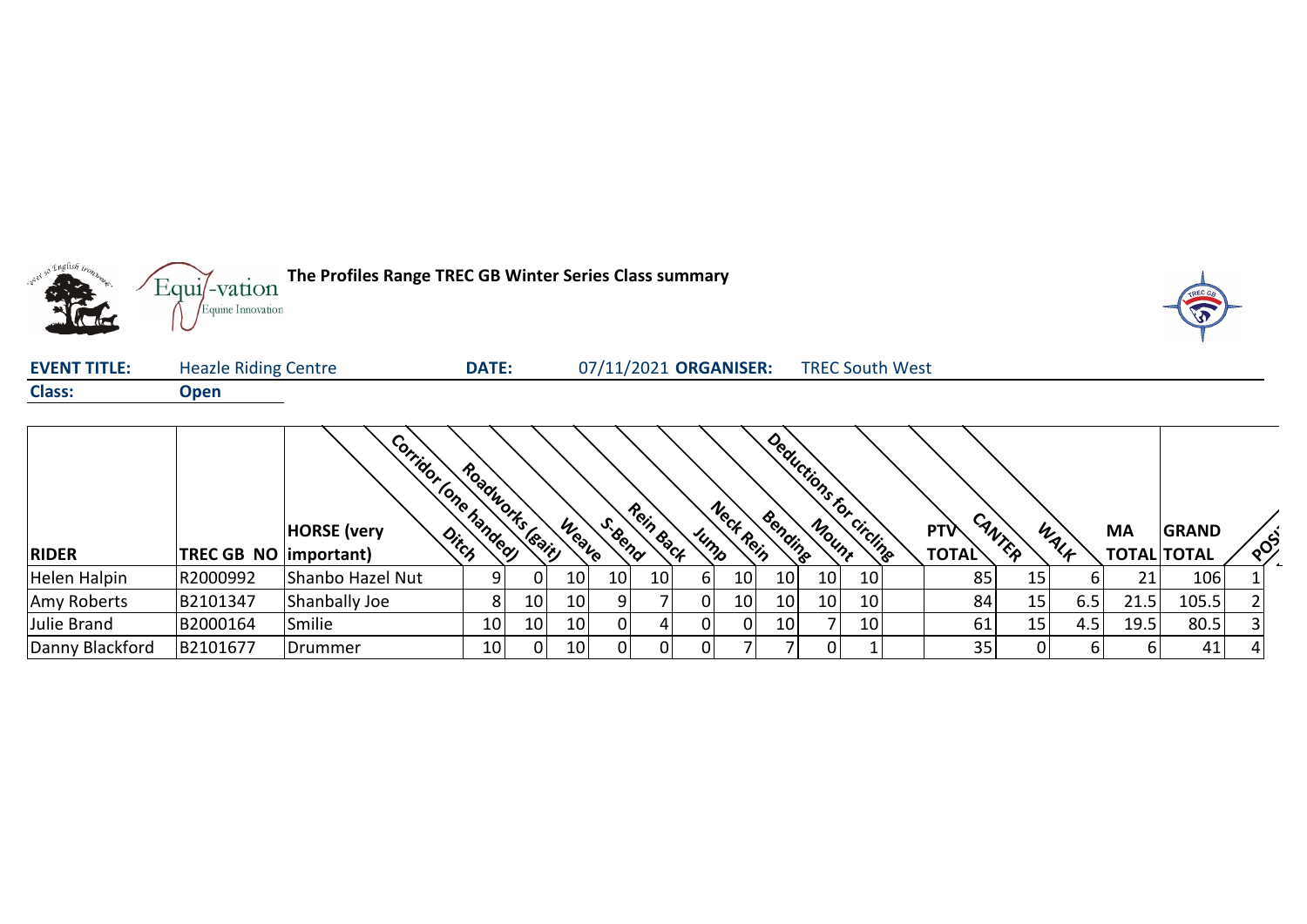

| <b>EVENT TITLE:</b> | <b>Heazle Riding Centre</b> | <b>DATE:</b> | 07/11/2021 ORGANISER: | <b>TREC South West</b> |
|---------------------|-----------------------------|--------------|-----------------------|------------------------|
| <b>Class:</b>       | Open                        |              |                       |                        |

|                 |                               | Corridor (one handley)<br><b>HORSE</b> (very | Roadworks leain |                 | Weater          | S.Bend          | Rein Back |      | Neck Rein       | Deductions for<br>Bending | Mount | circline | <b>PTV</b>   | CANTER | WALF | <b>MA</b>          | <b>GRAND</b> |                                         |  |
|-----------------|-------------------------------|----------------------------------------------|-----------------|-----------------|-----------------|-----------------|-----------|------|-----------------|---------------------------|-------|----------|--------------|--------|------|--------------------|--------------|-----------------------------------------|--|
| <b>RIDER</b>    | <b>TREC GB NO (important)</b> | Ditch                                        |                 |                 |                 |                 |           | Jump |                 |                           |       |          | <b>TOTAL</b> |        |      | <b>TOTAL TOTAL</b> |              | $\left\langle \mathrm{e} \right\rangle$ |  |
| Helen Halpin    | R2000992                      | Shanbo Hazel Nut                             |                 | 01              | 10 <sub>1</sub> | 10 <sup>1</sup> | 10        | 6    | 10 <sup>1</sup> | 10 <sub>1</sub>           | 10    | 10       | 85           | 15     |      | 21                 | 106          |                                         |  |
| Amy Roberts     | B2101347                      | Shanbally Joe                                |                 | 10              | 10 <sup>1</sup> | 9               |           | 01   | 10 <sup>1</sup> | 10                        | 10    | 10       | 84           | 15     | 6.5  | 21.5               | 105.5        |                                         |  |
| Julie Brand     | B2000164                      | Smilie                                       | 10 <sub>1</sub> | 10 <sub>l</sub> | 10 <sup>1</sup> | $\overline{0}$  | 4.        | 01   |                 | 10 <sub>1</sub>           |       | 10       | 61           | 15     | 4.5  | 19.5               | 80.5         |                                         |  |
| Danny Blackford | B2101677                      | Drummer                                      | 10 <sub>1</sub> |                 | 10 <sup>1</sup> | $\Omega$        | 0         | 0    |                 |                           |       |          | 35           | 0      |      |                    | 41           |                                         |  |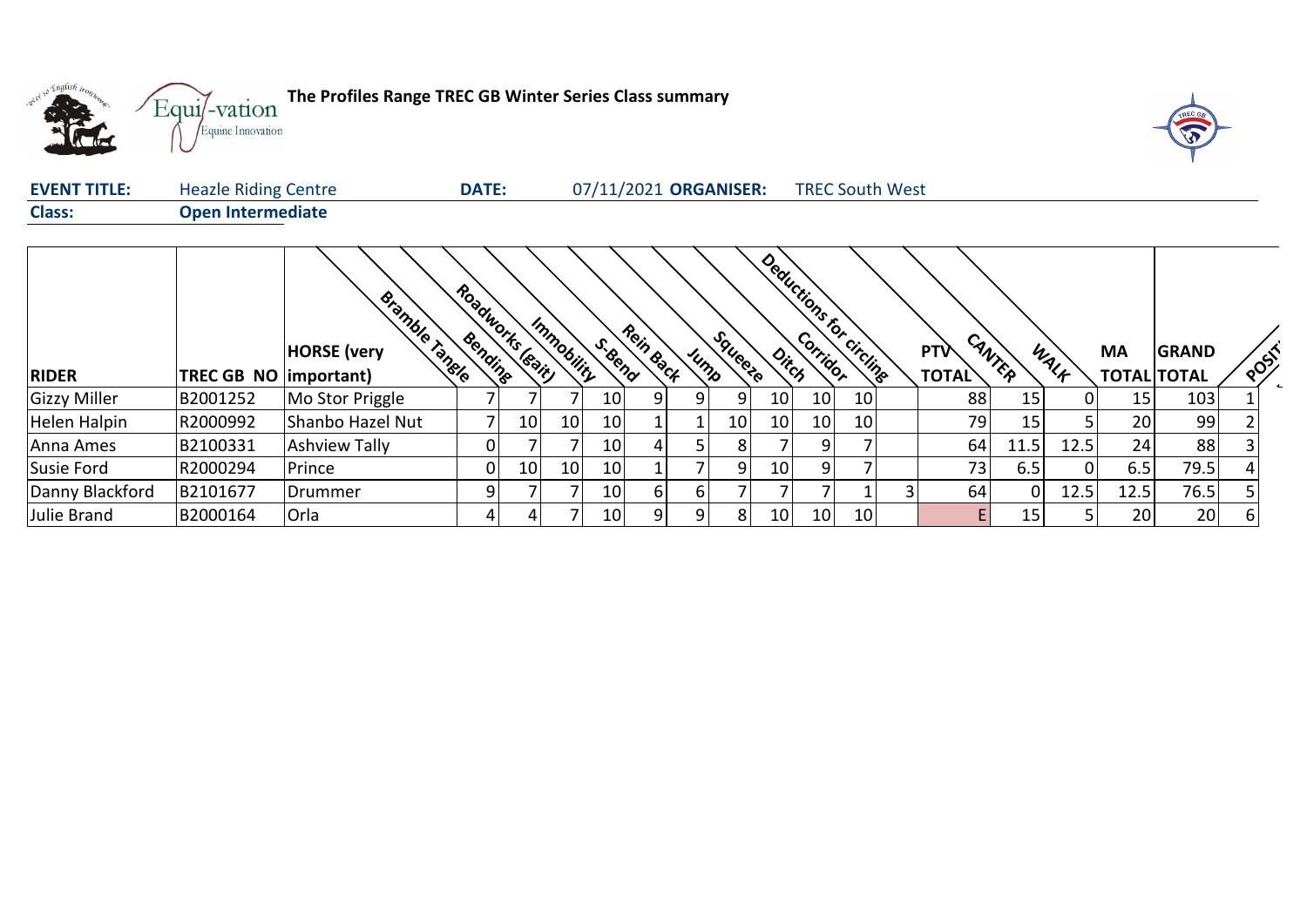



| <b>EVENT TITLE:</b> | <b>Heazle Riding Centre</b> | <b>DATE:</b> | 07/11/2021 ORGANISER: | <b>TREC South West</b> |
|---------------------|-----------------------------|--------------|-----------------------|------------------------|
| <b>Class:</b>       | <b>Open Intermediate</b>    |              |                       |                        |

|                 |                               | Bramble Tangle<br><b>HORSE</b> (very | Bendine | Roadworks leavil | Immobility | S.Bend          | Rein Back |      | Squeete |                 | Deductions for circlings |                 | <b>PTV</b>   | CANTER | WALF | МA                 | <b>GRAND</b> | POST |  |
|-----------------|-------------------------------|--------------------------------------|---------|------------------|------------|-----------------|-----------|------|---------|-----------------|--------------------------|-----------------|--------------|--------|------|--------------------|--------------|------|--|
| <b>RIDER</b>    | $ {\sf TREC}$ GB $ {\sf NO} $ | important)                           |         |                  |            |                 |           | Jump |         |                 |                          |                 | <b>TOTAL</b> |        |      | <b>TOTAL TOTAL</b> |              |      |  |
| Gizzy Miller    | B2001252                      | Mo Stor Priggle                      |         |                  |            | 10 <sup>1</sup> | 9         | 9    | 9       | 10 <sup>1</sup> | 10                       | 10 <sup>1</sup> | 88           | 15     | 0    | 15                 | 103          |      |  |
| Helen Halpin    | R2000992                      | Shanbo Hazel Nut                     |         | 10               | 10         | 10 <sup>1</sup> |           |      | 10      | 10 <sup>1</sup> | 10 <sup>1</sup>          | 10              | 79           | 15     |      | 20                 | 99           |      |  |
| Anna Ames       | B2100331                      | <b>Ashview Tally</b>                 | 0       |                  |            | 10              |           |      | 8       |                 | 91                       |                 | 64           | 11.5   | 12.5 | 24                 | 88           |      |  |
| Susie Ford      | R2000294                      | Prince                               | 0       | 10 <sup>°</sup>  | 10         | 10              |           |      | 9       | 10              | 9                        |                 | 73           | 6.5    | 0    | 6.5                | 79.5         |      |  |
| Danny Blackford | B2101677                      | Drummer                              | 9       |                  |            | 10 <sup>1</sup> | 6         | 6    |         |                 |                          |                 | 64           |        | 12.5 | 12.5               | 76.5         |      |  |
| Julie Brand     | B2000164                      | Orla                                 | 4       | 4                |            | 10 <sup>1</sup> | 9         | 9    | 8       | 10 <sup>1</sup> | 10 <sup>1</sup>          | 10              |              | 15     |      | 20                 | 20           | 6    |  |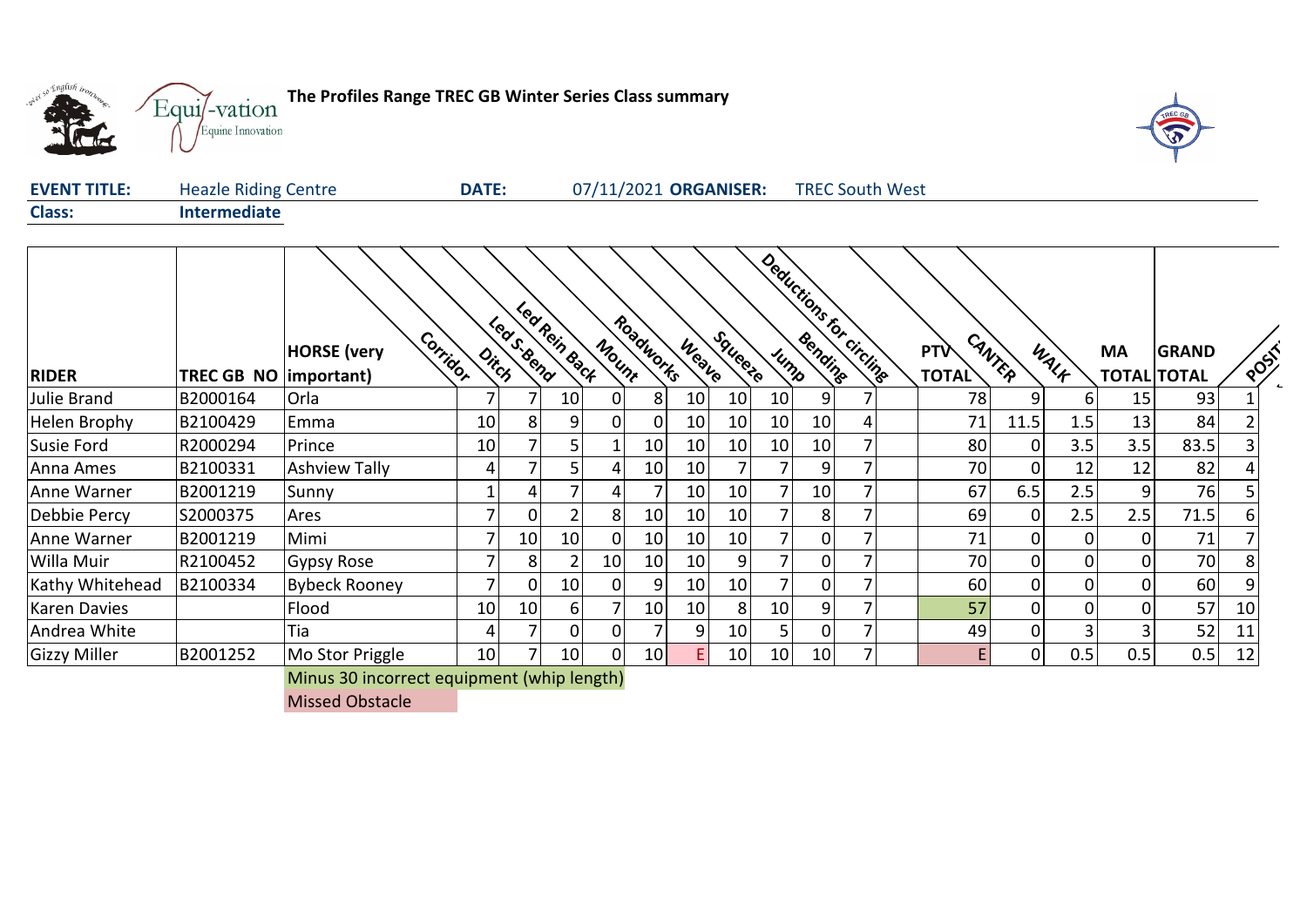

T



| <b>EVENT TITLE:</b> | <b>Heazle Riding Centre</b> | <b>DATE:</b> | 07/11/2021 ORGANISER: | <b>TREC South West</b> |
|---------------------|-----------------------------|--------------|-----------------------|------------------------|
| <b>Class:</b>       | Intermediate                |              |                       |                        |

| <b>RIDER</b>        | TREC GB NO   important) | Corrigor<br><b>HORSE</b> (very | $o_{i_{\zeta_{\zeta}} }$ | Led Rein Back<br>Leas Sema |                 | Mount          | Roadworks | Weave | Squeete         |                 |    | Deductions for circline | <b>PTV</b><br><b>TOTAL</b> | CANTER   | WALK | <b>MA</b> | <b>GRAND</b><br><b>TOTAL TOTAL</b> | POST |
|---------------------|-------------------------|--------------------------------|--------------------------|----------------------------|-----------------|----------------|-----------|-------|-----------------|-----------------|----|-------------------------|----------------------------|----------|------|-----------|------------------------------------|------|
| Julie Brand         | B2000164                | Orla                           |                          | 7                          | 10 <sub>l</sub> | ΩI             | 8         | 10    | 10              | 10 <sub>1</sub> | 9  |                         | 78                         |          | 6    | 15        | 93                                 |      |
| Helen Brophy        | B2100429                | Emma                           | 10                       | 8                          | 9               | $\overline{0}$ | 0         | 10    | 10              | 10 <sup>1</sup> | 10 |                         | 71                         | 11.5     | 1.5  | 13        | 84                                 |      |
| Susie Ford          | R2000294                | Prince                         | 10                       | 7                          | 5               |                | 10        | 10    | 10              | 10 <sup>1</sup> | 10 |                         | 80                         |          | 3.5  | 3.5       | 83.5                               |      |
| Anna Ames           | B2100331                | <b>Ashview Tally</b>           | 4                        | 7                          | 5               | 4              | 10        | 10    |                 |                 | 9  |                         | 70                         |          | 12   | 12        | 82                                 |      |
| Anne Warner         | B2001219                | Sunny                          |                          | 4                          | 7               | 41             | 7         | 10    | 10              |                 | 10 |                         | 67                         | 6.5      | 2.5  | 9         | 76                                 |      |
| Debbie Percy        | S2000375                | Ares                           |                          | 0                          | $\overline{2}$  | 81             | 10        | 10    | 10              |                 | 8  |                         | 69                         |          | 2.5  | 2.5       | 71.5                               | 6    |
| Anne Warner         | B2001219                | Mimi                           |                          | 10                         | 10              | ΩI             | 10        | 10    | 10              |                 | 0  |                         | 71                         |          | 0    |           | 71                                 |      |
| Willa Muir          | R2100452                | Gypsy Rose                     |                          | 8                          | $\overline{2}$  | 10             | 10        | 10    | 9               |                 | 0  |                         | 70                         |          | ი    |           | 70                                 |      |
| Kathy Whitehead     | B2100334                | Bybeck Rooney                  |                          | 0                          | 10              | ΩI             | 9         | 10    | 10              |                 |    |                         | 60                         |          |      |           | 60                                 |      |
| Karen Davies        |                         | Flood                          | 10                       | 10                         | 6 <sup>1</sup>  |                | 10        | 10    | 8               | 10              | 9  |                         | 57                         | $\Omega$ | 0    |           | 57                                 | 10   |
| Andrea White        |                         | Tia                            | 4                        | 7                          | 0               | 0              | 7         | 9     | 10 <sup>1</sup> | 5 <sub>1</sub>  | 0  |                         | 49                         |          |      |           | 52                                 | 11   |
| <b>Gizzy Miller</b> | B2001252                | Mo Stor Priggle                | 10                       | 7                          | 10              | 01             | 10        | E.    | 10              | 10 <sup>1</sup> | 10 |                         | E                          |          | 0.5  | 0.5       | 0.5                                | 12   |

Minus 30 incorrect equipment (whip length)

Missed Obstacle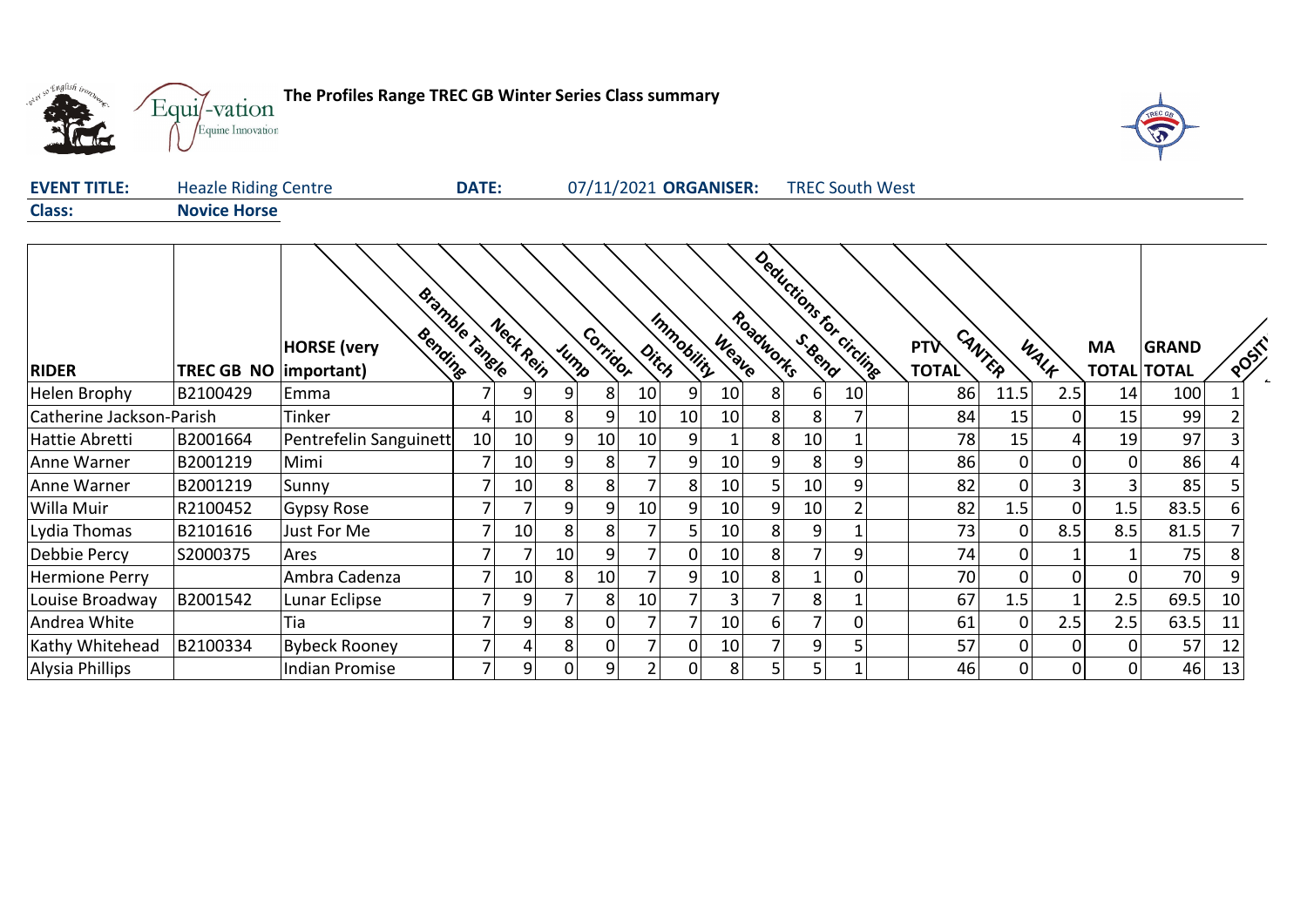

**The Profiles Range TREC GB Winter Series Class summary**



| <b>EVENT TITLE:</b> | <b>Heazle Riding Centre</b> | <b>DATE:</b> | 07/11/2021 ORGANISER: | <b>TREC South West</b> |  |
|---------------------|-----------------------------|--------------|-----------------------|------------------------|--|
| <b>Class:</b>       | <b>Novice Horse</b>         |              |                       |                        |  |

|                          |                                | Bramble Tangle                |    | Neck Rein      |          |                |                      | Immobility   |                 | Roadworks      | Deductions for circline |                |            |        |                 |                    |              |      |
|--------------------------|--------------------------------|-------------------------------|----|----------------|----------|----------------|----------------------|--------------|-----------------|----------------|-------------------------|----------------|------------|--------|-----------------|--------------------|--------------|------|
|                          |                                | Bending<br><b>HORSE</b> (very |    |                | Jump     | Corrigor       | $o_{i\zeta_{\beta}}$ |              | Weave           |                |                         |                | <b>PTV</b> | CANTER | WALK            | <b>MA</b>          | <b>GRAND</b> | POST |
| <b>RIDER</b>             | <b>TREC GB NO   important)</b> |                               |    |                |          |                |                      |              |                 |                |                         |                | TOTAL      |        |                 | <b>TOTAL TOTAL</b> |              |      |
| Helen Brophy             | B2100429                       | Emma                          |    | 9              | 9        | 8              | 10                   | 9            | 10 <sup>1</sup> | 8              | $6 \mid$                | 10             | 86         | 11.5   | 2.5             | 14                 | 100          |      |
| Catherine Jackson-Parish |                                | Tinker                        | 4  | 10             | 8        | 9              | 10                   | 10           | 10              | 8 <sup>1</sup> | 8                       |                | 84         | 15     | 0               | 15                 | 99           |      |
| Hattie Abretti           | B2001664                       | Pentrefelin Sanguinett        | 10 | 10             | 9        | 10             | 10                   | 9            |                 | 8              | 10                      |                | 78         | 15     | $\vert 4 \vert$ | 19                 | 97           |      |
| Anne Warner              | B2001219                       | Mimi                          |    | 10             | 9        | 8              |                      | 9            | 10              | 9              | 8                       | 9              | 86         | 0      | 0               | $\overline{0}$     | 86           |      |
| Anne Warner              | B2001219                       | Sunny                         |    | 10             | 8        | 8 <sup>1</sup> |                      | 8            | 10              |                | 10                      | 9 <sup>1</sup> | 82         |        | 3               | $\overline{3}$     | 85           |      |
| Willa Muir               | R2100452                       | <b>Gypsy Rose</b>             | 7  |                | 9        | 9 <sub>l</sub> | 10                   | 9            | 10              | 9              | 10                      | $\overline{2}$ | 82         | 1.5    | $\overline{0}$  | 1.5                | 83.5         | 6    |
| Lydia Thomas             | B2101616                       | Just For Me                   |    | 10             | 8        | 81             |                      | כ            | 10              | 8              | 9                       |                | 73         | 0      | 8.5             | 8.5                | 81.5         |      |
| Debbie Percy             | S2000375                       | Ares                          | 7  |                | 10       | 9              |                      | $\mathbf{0}$ | 10              | 8 <sup>1</sup> | $\overline{7}$          | 9              | 74         | 0      |                 |                    | 75           | 8    |
| <b>Hermione Perry</b>    |                                | Ambra Cadenza                 |    | 10             | 8        | 10             |                      | 9            | 10              | 8 <sup>1</sup> |                         | 01             | 70         |        | $\overline{0}$  | $\overline{0}$     | 70           |      |
| Louise Broadway          | B2001542                       | Lunar Eclipse                 |    | 9              |          | 8              | 10                   |              | $\overline{3}$  |                | 8                       |                | 67         | 1.5    |                 | 2.5                | 69.5         | 10   |
| Andrea White             |                                | Tia                           |    | 9              | 8        | 01             |                      |              | 10 <sup>1</sup> | 61             | 7                       | 01             | 61         |        | 2.5             | 2.5                | 63.5         | 11   |
| Kathy Whitehead          | B2100334                       | <b>Bybeck Rooney</b>          | 7  |                | 8        | ΩI             |                      | 0            | 10              |                | $\overline{9}$          | 5              | 57         | 0      | <sup>0</sup>    | $\overline{0}$     | 57           | 12   |
| Alysia Phillips          |                                | <b>Indian Promise</b>         | 7  | 9 <sub>1</sub> | $\Omega$ | 9              |                      |              | 8 <sup>1</sup>  | .5             | 5                       | 1              | 46         | 0      | $\Omega$        | 0                  | 46           | 13   |